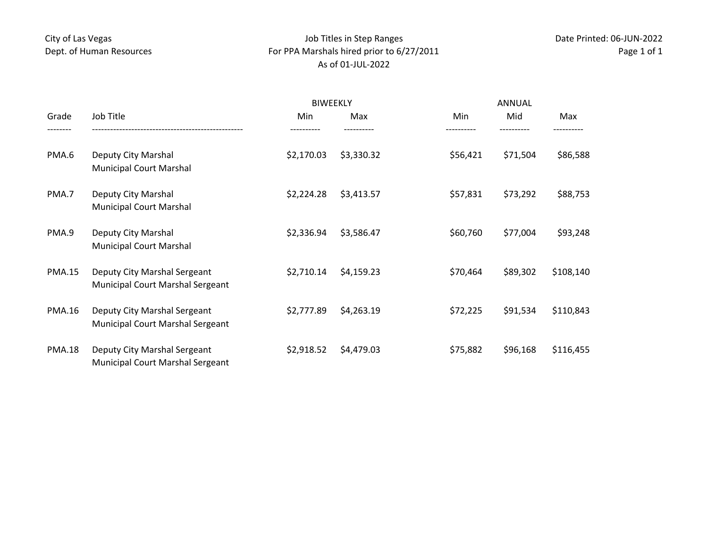## City of Las Vegas Dept. of Human Resources

## Job Titles in Step Ranges For PPA Marshals hired prior to 6/27/2011 As of 01‐JUL‐2022

| Grade         | Job Title                                                               | <b>BIWEEKLY</b> |            | ANNUAL   |          |           |
|---------------|-------------------------------------------------------------------------|-----------------|------------|----------|----------|-----------|
|               |                                                                         | Min             | Max        | Min      | Mid      | Max       |
| PMA.6         | Deputy City Marshal<br><b>Municipal Court Marshal</b>                   | \$2,170.03      | \$3,330.32 | \$56,421 | \$71,504 | \$86,588  |
| PMA.7         | Deputy City Marshal<br><b>Municipal Court Marshal</b>                   | \$2,224.28      | \$3,413.57 | \$57,831 | \$73,292 | \$88,753  |
| PMA.9         | Deputy City Marshal<br><b>Municipal Court Marshal</b>                   | \$2,336.94      | \$3,586.47 | \$60,760 | \$77,004 | \$93,248  |
| <b>PMA.15</b> | Deputy City Marshal Sergeant<br>Municipal Court Marshal Sergeant        | \$2,710.14      | \$4,159.23 | \$70,464 | \$89,302 | \$108,140 |
| <b>PMA.16</b> | Deputy City Marshal Sergeant<br><b>Municipal Court Marshal Sergeant</b> | \$2,777.89      | \$4,263.19 | \$72,225 | \$91,534 | \$110,843 |
| <b>PMA.18</b> | Deputy City Marshal Sergeant<br><b>Municipal Court Marshal Sergeant</b> | \$2,918.52      | \$4,479.03 | \$75,882 | \$96,168 | \$116,455 |